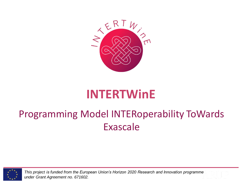

# **INTERTWinE**

## Programming Model INTERoperability ToWards Exascale



*This project is funded from the European Union's Horizon 2020 Research and Innovation programme under Grant Agreement no. 671602.*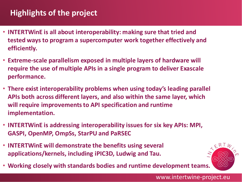### **Highlights of the project**

- **INTERTWinE is all about interoperability: making sure that tried and tested ways to program a supercomputer work together effectively and efficiently.**
- **Extreme-scale parallelism exposed in multiple layers of hardware will require the use of multiple APIs in a single program to deliver Exascale performance.**
- **There exist interoperability problems when using today's leading parallel APIs both across different layers, and also within the same layer, which will require improvements to API specification and runtime implementation.**
- **INTERTWinE is addressing interoperability issues for six key APIs: MPI, GASPI, OpenMP, OmpSs, StarPU and PaRSEC**
- **INTERTWinE will demonstrate the benefits using several applications/kernels, including iPIC3D, Ludwig and Tau.**



www.intertwine-project.eu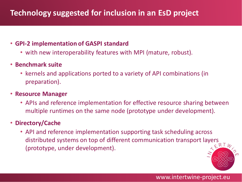## **Technology suggested for inclusion in an EsD project**

#### • **GPI-2 implementation of GASPI standard**

- with new interoperability features with MPI (mature, robust).
- **Benchmark suite**
	- kernels and applications ported to a variety of API combinations (in preparation).
- **Resource Manager**
	- APIs and reference implementation for effective resource sharing between multiple runtimes on the same node (prototype under development).

#### • **Directory/Cache**

• API and reference implementation supporting task scheduling across distributed systems on top of different communication transport layers (prototype, under development).

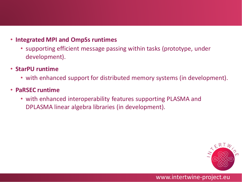#### • **Integrated MPI and OmpSs runtimes**

- supporting efficient message passing within tasks (prototype, under development).
- **StarPU runtime** 
	- with enhanced support for distributed memory systems (in development).
- **PaRSEC runtime** 
	- with enhanced interoperability features supporting PLASMA and DPLASMA linear algebra libraries (in development).